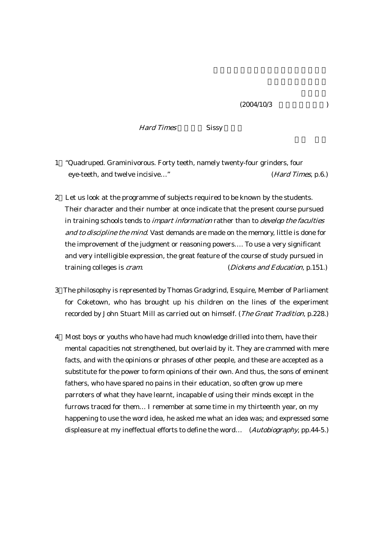Hard Times Sissy

- 1 "Quadruped. Graminivorous. Forty teeth, namely twenty-four grinders, four eye-teeth, and twelve incisive…" (Hard Times, p.6.)
- 2 Let us look at the programme of subjects required to be known by the students. Their character and their number at once indicate that the present course pursued in training schools tends to *impart information* rather than to *develop the faculties* and to discipline the mind. Vast demands are made on the memory, little is done for the improvement of the judgment or reasoning powers…. To use a very significant and very intelligible expression, the great feature of the course of study pursued in training colleges is *cram*. (*Dickens and Education*, p.151.)
- 3 The philosophy is represented by Thomas Gradgrind, Esquire, Member of Parliament for Coketown, who has brought up his children on the lines of the experiment recorded by John Stuart Mill as carried out on himself. (The Great Tradition, p.228.)
- 4 Most boys or youths who have had much knowledge drilled into them, have their mental capacities not strengthened, but overlaid by it. They are crammed with mere facts, and with the opinions or phrases of other people, and these are accepted as a substitute for the power to form opinions of their own. And thus, the sons of eminent fathers, who have spared no pains in their education, so often grow up mere parroters of what they have learnt, incapable of using their minds except in the furrows traced for them… I remember at some time in my thirteenth year, on my happening to use the word idea, he asked me what an idea was; and expressed some displeasure at my ineffectual efforts to define the word... (Autobiography, pp.44-5.)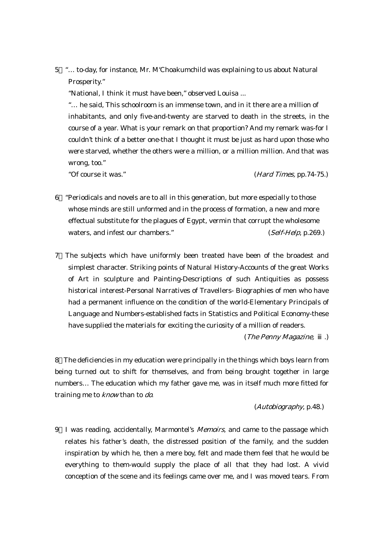5 "… to-day, for instance, Mr. M'Choakumchild was explaining to us about Natural Prosperity."

"National, I think it must have been," observed Louisa ...

 "… he said, This schoolroom is an immense town, and in it there are a million of inhabitants, and only five-and-twenty are starved to death in the streets, in the course of a year. What is your remark on that proportion? And my remark was-for I couldn't think of a better one-that I thought it must be just as hard upon those who were starved, whether the others were a million, or a million million. And that was wrong, too."

"Of course it was." (Hard Times, pp.74-75.)

- 6 "Periodicals and novels are to all in this generation, but more especially to those whose minds are still unformed and in the process of formation, a new and more effectual substitute for the plagues of Egypt, vermin that corrupt the wholesome waters, and infest our chambers." (Self-Help, p.269.)
- 7 The subjects which have uniformly been treated have been of the broadest and simplest character. Striking points of Natural History-Accounts of the great Works of Art in sculpture and Painting-Descriptions of such Antiquities as possess historical interest-Personal Narratives of Travellers- Biographies of men who have had a permanent influence on the condition of the world-Elementary Principals of Language and Numbers-established facts in Statistics and Political Economy-these have supplied the materials for exciting the curiosity of a million of readers.

(The Penny Magazine, .)

8 The deficiencies in my education were principally in the things which boys learn from being turned out to shift for themselves, and from being brought together in large numbers… The education which my father gave me, was in itself much more fitted for training me to *know* than to *do*.

(Autobiography, p.48.)

9 I was reading, accidentally, Marmontel's Memoirs, and came to the passage which relates his father's death, the distressed position of the family, and the sudden inspiration by which he, then a mere boy, felt and made them feel that he would be everything to them-would supply the place of all that they had lost. A vivid conception of the scene and its feelings came over me, and I was moved tears. From